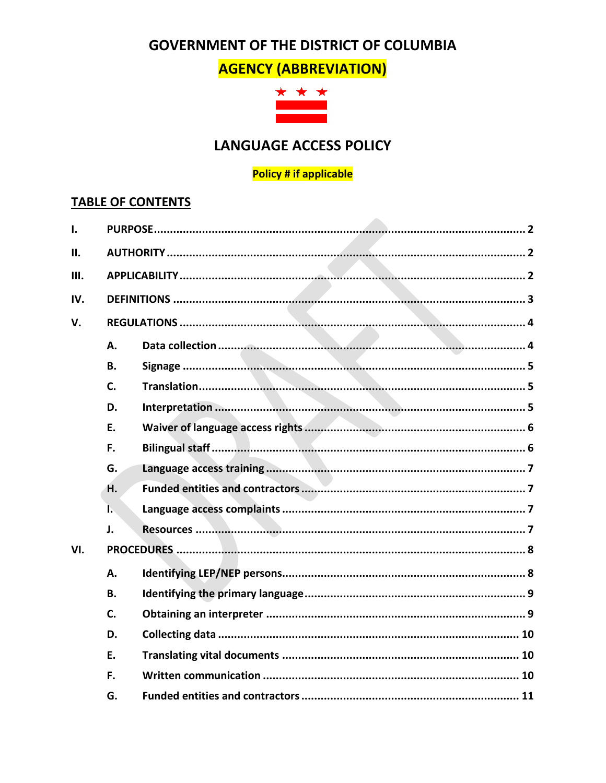# **GOVERNMENT OF THE DISTRICT OF COLUMBIA**

**AGENCY (ABBREVIATION)** 



# **LANGUAGE ACCESS POLICY**

#### **Policy # if applicable**

## **TABLE OF CONTENTS**

| Ι.  |           |  |  |  |
|-----|-----------|--|--|--|
| II. |           |  |  |  |
| Ш.  |           |  |  |  |
| IV. |           |  |  |  |
| V.  |           |  |  |  |
|     | Α.        |  |  |  |
|     | <b>B.</b> |  |  |  |
|     | C.        |  |  |  |
|     | D.        |  |  |  |
|     | Ε.        |  |  |  |
|     | F.        |  |  |  |
|     | G.        |  |  |  |
|     | Η.        |  |  |  |
|     | Ŀ.        |  |  |  |
|     | J.        |  |  |  |
| VI. |           |  |  |  |
|     | А.        |  |  |  |
|     | <b>B.</b> |  |  |  |
|     | C.        |  |  |  |
|     | D.        |  |  |  |
|     | E.        |  |  |  |
|     | F.        |  |  |  |
|     | G.        |  |  |  |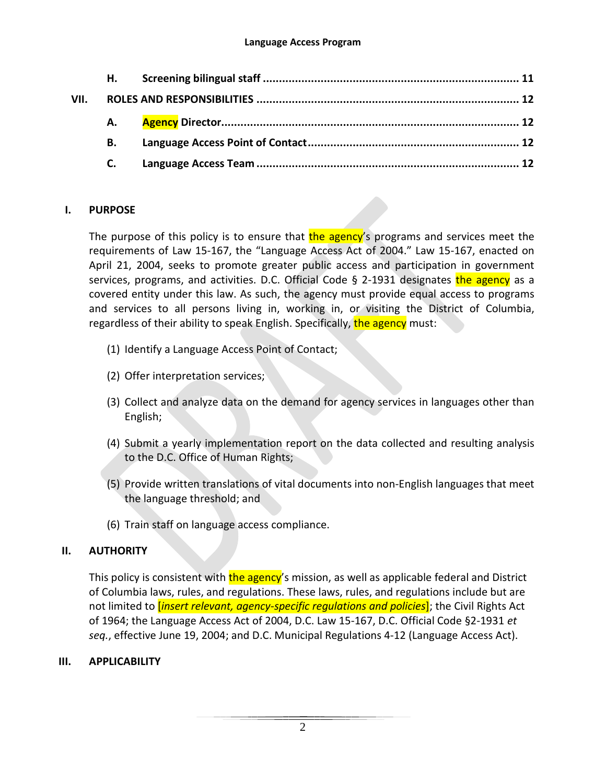|      | Н. |  |
|------|----|--|
| VII. |    |  |
|      |    |  |
|      | В. |  |
|      |    |  |

#### <span id="page-1-0"></span>**I. PURPOSE**

The purpose of this policy is to ensure that the agency's programs and services meet the requirements of Law 15-167, the "Language Access Act of 2004." Law 15-167, enacted on April 21, 2004, seeks to promote greater public access and participation in government services, programs, and activities. D.C. Official Code § 2-1931 designates the agency as a covered entity under this law. As such, the agency must provide equal access to programs and services to all persons living in, working in, or visiting the District of Columbia, regardless of their ability to speak English. Specifically, the agency must:

- (1) Identify a Language Access Point of Contact;
- (2) Offer interpretation services;
- (3) Collect and analyze data on the demand for agency services in languages other than English;
- (4) Submit a yearly implementation report on the data collected and resulting analysis to the D.C. Office of Human Rights;
- (5) Provide written translations of vital documents into non-English languages that meet the language threshold; and
- (6) Train staff on language access compliance.

## <span id="page-1-1"></span>**II. AUTHORITY**

This policy is consistent with the agency's mission, as well as applicable federal and District of Columbia laws, rules, and regulations. These laws, rules, and regulations include but are not limited to [*insert relevant, agency-specific regulations and policies*]; the Civil Rights Act of 1964; the Language Access Act of 2004, D.C. Law 15-167, D.C. Official Code §2-1931 *et seq.*, effective June 19, 2004; and D.C. Municipal Regulations 4-12 (Language Access Act).

## <span id="page-1-2"></span>**III. APPLICABILITY**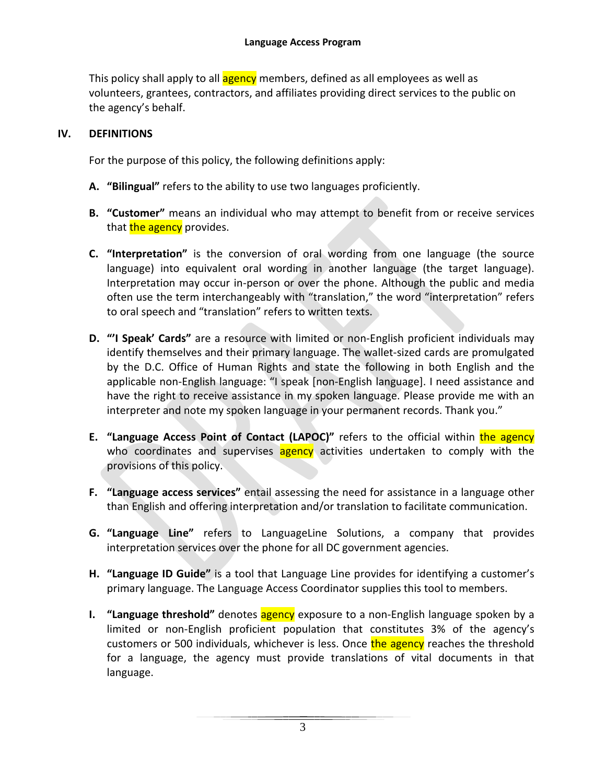This policy shall apply to all **agency** members, defined as all employees as well as volunteers, grantees, contractors, and affiliates providing direct services to the public on the agency's behalf.

## <span id="page-2-0"></span>**IV. DEFINITIONS**

For the purpose of this policy, the following definitions apply:

- **A. "Bilingual"** refers to the ability to use two languages proficiently.
- **B. "Customer"** means an individual who may attempt to benefit from or receive services that the agency provides.
- **C. "Interpretation"** is the conversion of oral wording from one language (the source language) into equivalent oral wording in another language (the target language). Interpretation may occur in-person or over the phone. Although the public and media often use the term interchangeably with "translation," the word "interpretation" refers to oral speech and "translation" refers to written texts.
- **D. "'I Speak' Cards"** are a resource with limited or non-English proficient individuals may identify themselves and their primary language. The wallet-sized cards are promulgated by the D.C. Office of Human Rights and state the following in both English and the applicable non-English language: "I speak [non-English language]. I need assistance and have the right to receive assistance in my spoken language. Please provide me with an interpreter and note my spoken language in your permanent records. Thank you."
- **E. "Language Access Point of Contact (LAPOC)"** refers to the official within the agency who coordinates and supervises agency activities undertaken to comply with the provisions of this policy.
- **F. "Language access services"** entail assessing the need for assistance in a language other than English and offering interpretation and/or translation to facilitate communication.
- **G. "Language Line"** refers to LanguageLine Solutions, a company that provides interpretation services over the phone for all DC government agencies.
- **H. "Language ID Guide"** is a tool that Language Line provides for identifying a customer's primary language. The Language Access Coordinator supplies this tool to members.
- **I. "Language threshold"** denotes **agency** exposure to a non-English language spoken by a limited or non-English proficient population that constitutes 3% of the agency's customers or 500 individuals, whichever is less. Once the agency reaches the threshold for a language, the agency must provide translations of vital documents in that language.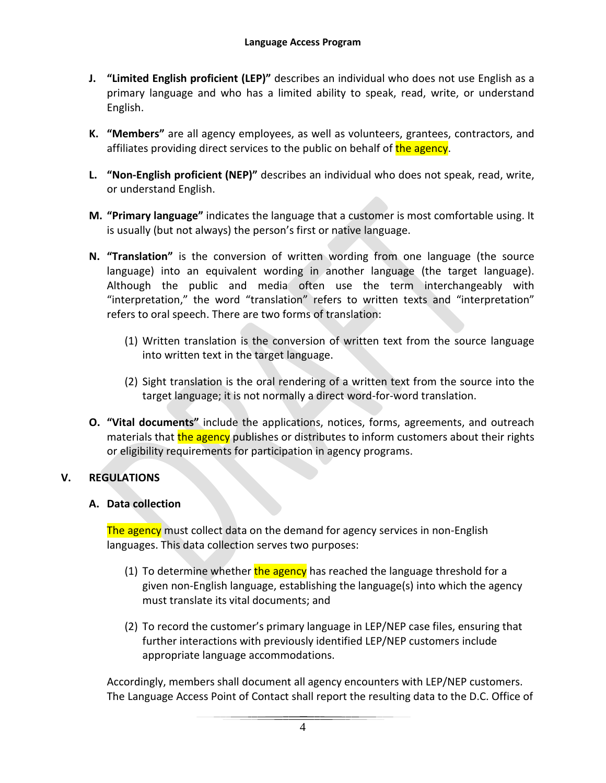- **J. "Limited English proficient (LEP)"** describes an individual who does not use English as a primary language and who has a limited ability to speak, read, write, or understand English.
- **K. "Members"** are all agency employees, as well as volunteers, grantees, contractors, and affiliates providing direct services to the public on behalf of the agency.
- **L. "Non-English proficient (NEP)"** describes an individual who does not speak, read, write, or understand English.
- **M. "Primary language"** indicates the language that a customer is most comfortable using. It is usually (but not always) the person's first or native language.
- **N. "Translation"** is the conversion of written wording from one language (the source language) into an equivalent wording in another language (the target language). Although the public and media often use the term interchangeably with "interpretation," the word "translation" refers to written texts and "interpretation" refers to oral speech. There are two forms of translation:
	- (1) Written translation is the conversion of written text from the source language into written text in the target language.
	- (2) Sight translation is the oral rendering of a written text from the source into the target language; it is not normally a direct word-for-word translation.
- **O. "Vital documents"** include the applications, notices, forms, agreements, and outreach materials that the agency publishes or distributes to inform customers about their rights or eligibility requirements for participation in agency programs.

## <span id="page-3-0"></span>**V. REGULATIONS**

#### <span id="page-3-1"></span>**A. Data collection**

The agency must collect data on the demand for agency services in non-English languages. This data collection serves two purposes:

- (1) To determine whether the agency has reached the language threshold for a given non-English language, establishing the language(s) into which the agency must translate its vital documents; and
- (2) To record the customer's primary language in LEP/NEP case files, ensuring that further interactions with previously identified LEP/NEP customers include appropriate language accommodations.

Accordingly, members shall document all agency encounters with LEP/NEP customers. The Language Access Point of Contact shall report the resulting data to the D.C. Office of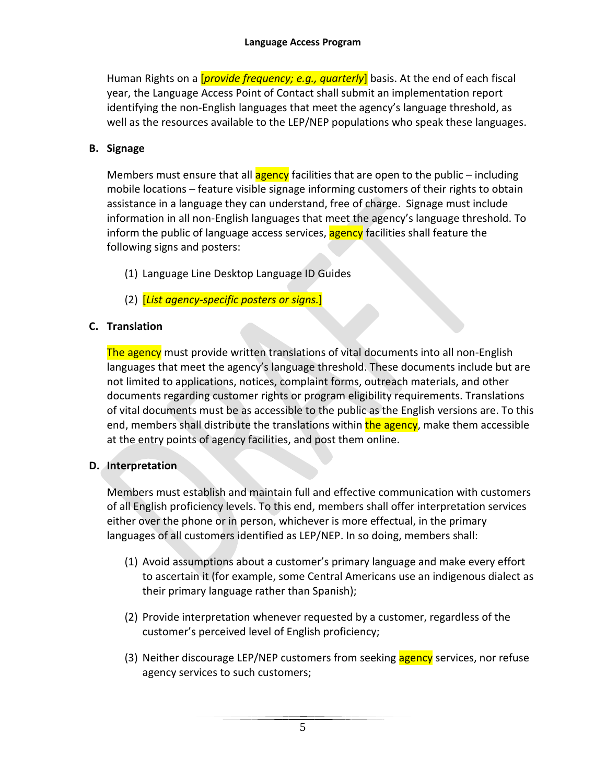Human Rights on a [*provide frequency; e.g., quarterly*] basis. At the end of each fiscal year, the Language Access Point of Contact shall submit an implementation report identifying the non-English languages that meet the agency's language threshold, as well as the resources available to the LEP/NEP populations who speak these languages.

#### <span id="page-4-0"></span>**B. Signage**

Members must ensure that all  $\frac{1}{\alpha}$  agency facilities that are open to the public – including mobile locations – feature visible signage informing customers of their rights to obtain assistance in a language they can understand, free of charge. Signage must include information in all non-English languages that meet the agency's language threshold. To inform the public of language access services, agency facilities shall feature the following signs and posters:

- (1) Language Line Desktop Language ID Guides
- (2) [*List agency-specific posters or signs.*]

## <span id="page-4-1"></span>**C. Translation**

The agency must provide written translations of vital documents into all non-English languages that meet the agency's language threshold. These documents include but are not limited to applications, notices, complaint forms, outreach materials, and other documents regarding customer rights or program eligibility requirements. Translations of vital documents must be as accessible to the public as the English versions are. To this end, members shall distribute the translations within the agency, make them accessible at the entry points of agency facilities, and post them online.

#### <span id="page-4-2"></span>**D. Interpretation**

Members must establish and maintain full and effective communication with customers of all English proficiency levels. To this end, members shall offer interpretation services either over the phone or in person, whichever is more effectual, in the primary languages of all customers identified as LEP/NEP. In so doing, members shall:

- (1) Avoid assumptions about a customer's primary language and make every effort to ascertain it (for example, some Central Americans use an indigenous dialect as their primary language rather than Spanish);
- (2) Provide interpretation whenever requested by a customer, regardless of the customer's perceived level of English proficiency;
- (3) Neither discourage LEP/NEP customers from seeking agency services, nor refuse agency services to such customers;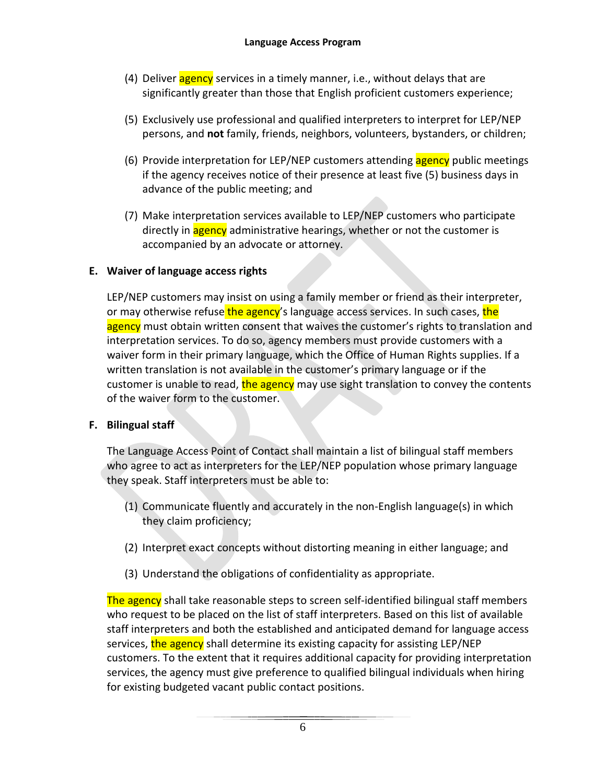- (4) Deliver agency services in a timely manner, i.e., without delays that are significantly greater than those that English proficient customers experience;
- (5) Exclusively use professional and qualified interpreters to interpret for LEP/NEP persons, and **not** family, friends, neighbors, volunteers, bystanders, or children;
- (6) Provide interpretation for LEP/NEP customers attending agency public meetings if the agency receives notice of their presence at least five (5) business days in advance of the public meeting; and
- (7) Make interpretation services available to LEP/NEP customers who participate directly in **agency** administrative hearings, whether or not the customer is accompanied by an advocate or attorney.

## <span id="page-5-0"></span>**E. Waiver of language access rights**

LEP/NEP customers may insist on using a family member or friend as their interpreter, or may otherwise refuse the agency's language access services. In such cases, the agency must obtain written consent that waives the customer's rights to translation and interpretation services. To do so, agency members must provide customers with a waiver form in their primary language, which the Office of Human Rights supplies. If a written translation is not available in the customer's primary language or if the customer is unable to read, the agency may use sight translation to convey the contents of the waiver form to the customer.

## <span id="page-5-1"></span>**F. Bilingual staff**

The Language Access Point of Contact shall maintain a list of bilingual staff members who agree to act as interpreters for the LEP/NEP population whose primary language they speak. Staff interpreters must be able to:

- (1) Communicate fluently and accurately in the non-English language(s) in which they claim proficiency;
- (2) Interpret exact concepts without distorting meaning in either language; and
- (3) Understand the obligations of confidentiality as appropriate.

The agency shall take reasonable steps to screen self-identified bilingual staff members who request to be placed on the list of staff interpreters. Based on this list of available staff interpreters and both the established and anticipated demand for language access services, the agency shall determine its existing capacity for assisting LEP/NEP customers. To the extent that it requires additional capacity for providing interpretation services, the agency must give preference to qualified bilingual individuals when hiring for existing budgeted vacant public contact positions.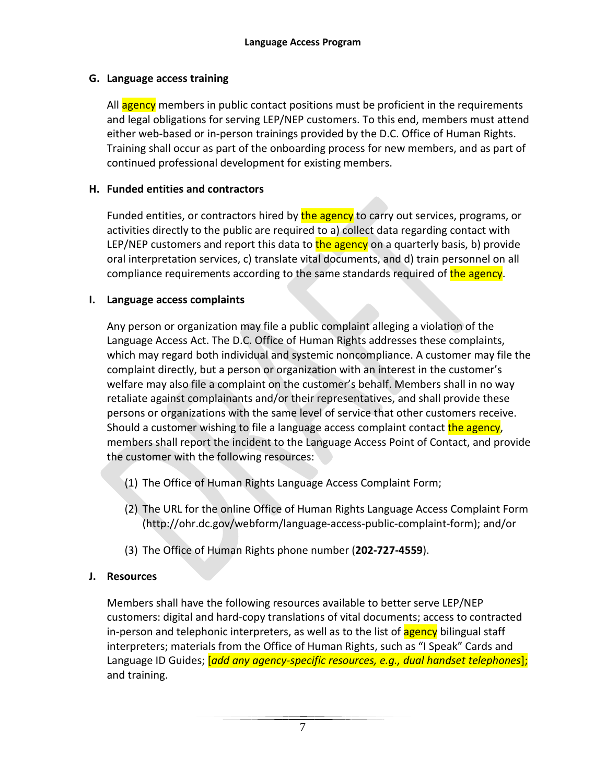## <span id="page-6-0"></span>**G. Language access training**

All agency members in public contact positions must be proficient in the requirements and legal obligations for serving LEP/NEP customers. To this end, members must attend either web-based or in-person trainings provided by the D.C. Office of Human Rights. Training shall occur as part of the onboarding process for new members, and as part of continued professional development for existing members.

## <span id="page-6-1"></span>**H. Funded entities and contractors**

Funded entities, or contractors hired by the agency to carry out services, programs, or activities directly to the public are required to a) collect data regarding contact with LEP/NEP customers and report this data to the agency on a quarterly basis, b) provide oral interpretation services, c) translate vital documents, and d) train personnel on all compliance requirements according to the same standards required of the agency.

#### <span id="page-6-2"></span>**I. Language access complaints**

Any person or organization may file a public complaint alleging a violation of the Language Access Act. The D.C. Office of Human Rights addresses these complaints, which may regard both individual and systemic noncompliance. A customer may file the complaint directly, but a person or organization with an interest in the customer's welfare may also file a complaint on the customer's behalf. Members shall in no way retaliate against complainants and/or their representatives, and shall provide these persons or organizations with the same level of service that other customers receive. Should a customer wishing to file a language access complaint contact the agency, members shall report the incident to the Language Access Point of Contact, and provide the customer with the following resources:

- (1) The Office of Human Rights Language Access Complaint Form;
- (2) The URL for the online Office of Human Rights Language Access Complaint Form (http://ohr.dc.gov/webform/language-access-public-complaint-form); and/or
- (3) The Office of Human Rights phone number (**202-727-4559**).

## <span id="page-6-3"></span>**J. Resources**

Members shall have the following resources available to better serve LEP/NEP customers: digital and hard-copy translations of vital documents; access to contracted in-person and telephonic interpreters, as well as to the list of **agency** bilingual staff interpreters; materials from the Office of Human Rights, such as "I Speak" Cards and Language ID Guides; [*add any agency-specific resources, e.g., dual handset telephones*]; and training.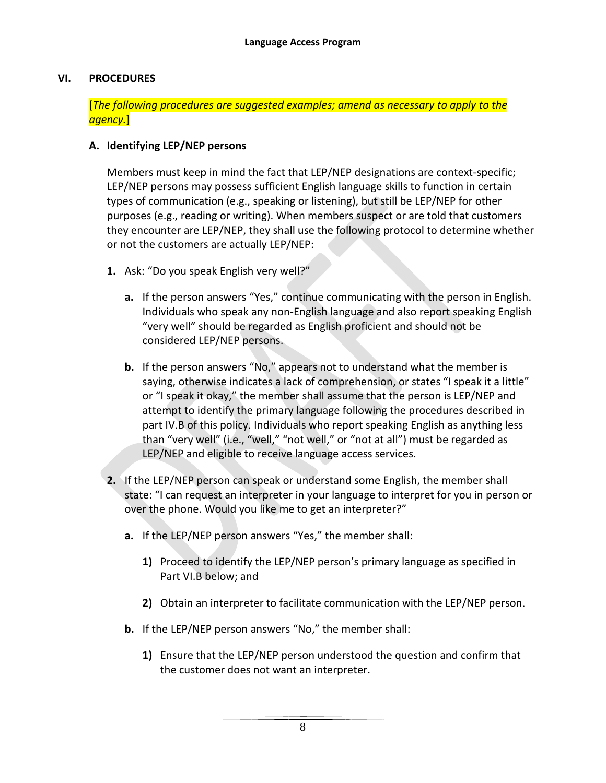#### <span id="page-7-0"></span>**VI. PROCEDURES**

#### [*The following procedures are suggested examples; amend as necessary to apply to the agency.*]

#### <span id="page-7-1"></span>**A. Identifying LEP/NEP persons**

Members must keep in mind the fact that LEP/NEP designations are context-specific; LEP/NEP persons may possess sufficient English language skills to function in certain types of communication (e.g., speaking or listening), but still be LEP/NEP for other purposes (e.g., reading or writing). When members suspect or are told that customers they encounter are LEP/NEP, they shall use the following protocol to determine whether or not the customers are actually LEP/NEP:

- **1.** Ask: "Do you speak English very well?"
	- **a.** If the person answers "Yes," continue communicating with the person in English. Individuals who speak any non-English language and also report speaking English "very well" should be regarded as English proficient and should not be considered LEP/NEP persons.
	- **b.** If the person answers "No," appears not to understand what the member is saying, otherwise indicates a lack of comprehension, or states "I speak it a little" or "I speak it okay," the member shall assume that the person is LEP/NEP and attempt to identify the primary language following the procedures described in part IV.B of this policy. Individuals who report speaking English as anything less than "very well" (i.e., "well," "not well," or "not at all") must be regarded as LEP/NEP and eligible to receive language access services.
- **2.** If the LEP/NEP person can speak or understand some English, the member shall state: "I can request an interpreter in your language to interpret for you in person or over the phone. Would you like me to get an interpreter?"
	- **a.** If the LEP/NEP person answers "Yes," the member shall:
		- **1)** Proceed to identify the LEP/NEP person's primary language as specified in Part VI.B below; and
		- **2)** Obtain an interpreter to facilitate communication with the LEP/NEP person.
	- **b.** If the LEP/NEP person answers "No," the member shall:
		- **1)** Ensure that the LEP/NEP person understood the question and confirm that the customer does not want an interpreter.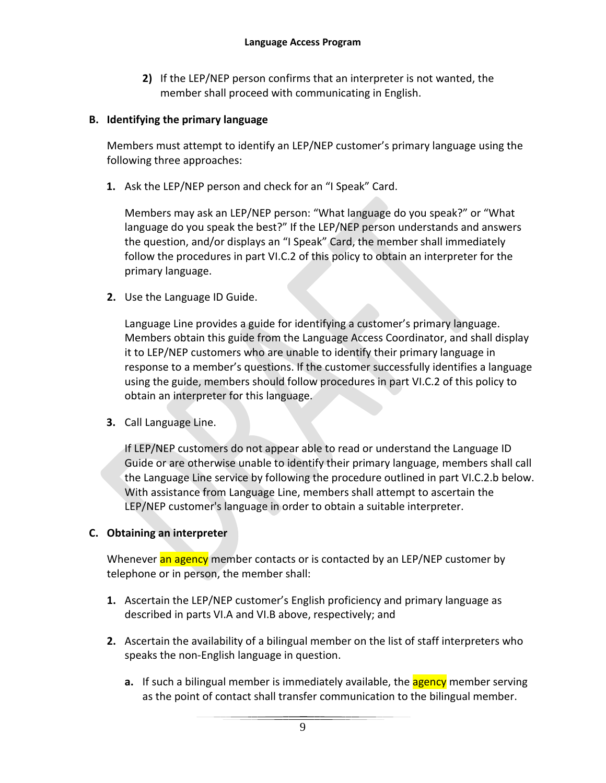**2)** If the LEP/NEP person confirms that an interpreter is not wanted, the member shall proceed with communicating in English.

#### <span id="page-8-0"></span>**B. Identifying the primary language**

Members must attempt to identify an LEP/NEP customer's primary language using the following three approaches:

**1.** Ask the LEP/NEP person and check for an "I Speak" Card.

Members may ask an LEP/NEP person: "What language do you speak?" or "What language do you speak the best?" If the LEP/NEP person understands and answers the question, and/or displays an "I Speak" Card, the member shall immediately follow the procedures in part VI.C.2 of this policy to obtain an interpreter for the primary language.

**2.** Use the Language ID Guide.

Language Line provides a guide for identifying a customer's primary language. Members obtain this guide from the Language Access Coordinator, and shall display it to LEP/NEP customers who are unable to identify their primary language in response to a member's questions. If the customer successfully identifies a language using the guide, members should follow procedures in part VI.C.2 of this policy to obtain an interpreter for this language.

**3.** Call Language Line.

If LEP/NEP customers do not appear able to read or understand the Language ID Guide or are otherwise unable to identify their primary language, members shall call the Language Line service by following the procedure outlined in part VI.C.2.b below. With assistance from Language Line, members shall attempt to ascertain the LEP/NEP customer's language in order to obtain a suitable interpreter.

## <span id="page-8-1"></span>**C. Obtaining an interpreter**

Whenever an agency member contacts or is contacted by an LEP/NEP customer by telephone or in person, the member shall:

- **1.** Ascertain the LEP/NEP customer's English proficiency and primary language as described in parts VI.A and VI.B above, respectively; and
- **2.** Ascertain the availability of a bilingual member on the list of staff interpreters who speaks the non-English language in question.
	- **a.** If such a bilingual member is immediately available, the **agency** member serving as the point of contact shall transfer communication to the bilingual member.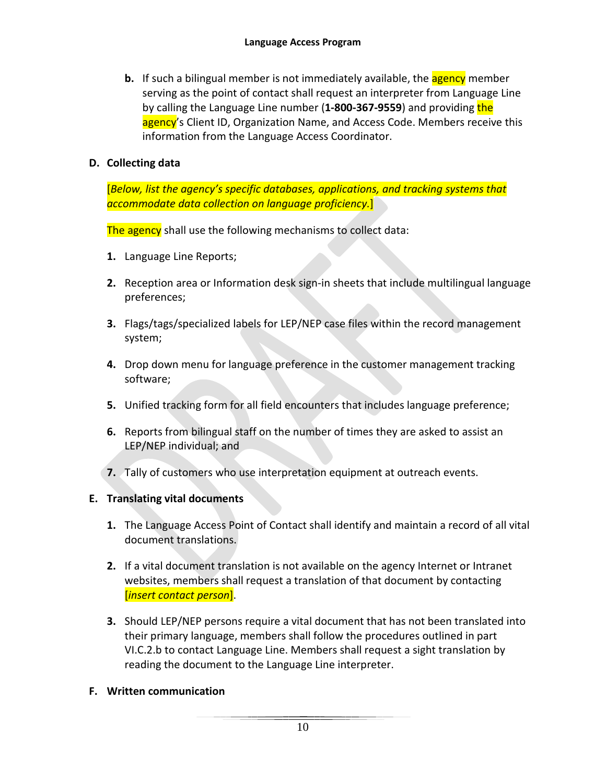**b.** If such a bilingual member is not immediately available, the **agency** member serving as the point of contact shall request an interpreter from Language Line by calling the Language Line number (**1-800-367-9559**) and providing the agency's Client ID, Organization Name, and Access Code. Members receive this information from the Language Access Coordinator.

## <span id="page-9-0"></span>**D. Collecting data**

[*Below, list the agency's specific databases, applications, and tracking systems that accommodate data collection on language proficiency.*]

The agency shall use the following mechanisms to collect data:

- **1.** Language Line Reports;
- **2.** Reception area or Information desk sign-in sheets that include multilingual language preferences;
- **3.** Flags/tags/specialized labels for LEP/NEP case files within the record management system;
- **4.** Drop down menu for language preference in the customer management tracking software;
- **5.** Unified tracking form for all field encounters that includes language preference;
- **6.** Reports from bilingual staff on the number of times they are asked to assist an LEP/NEP individual; and
- **7.** Tally of customers who use interpretation equipment at outreach events.

## <span id="page-9-1"></span>**E. Translating vital documents**

- **1.** The Language Access Point of Contact shall identify and maintain a record of all vital document translations.
- **2.** If a vital document translation is not available on the agency Internet or Intranet websites, members shall request a translation of that document by contacting [*insert contact person*].
- **3.** Should LEP/NEP persons require a vital document that has not been translated into their primary language, members shall follow the procedures outlined in part VI.C.2.b to contact Language Line. Members shall request a sight translation by reading the document to the Language Line interpreter.
- <span id="page-9-2"></span>**F. Written communication**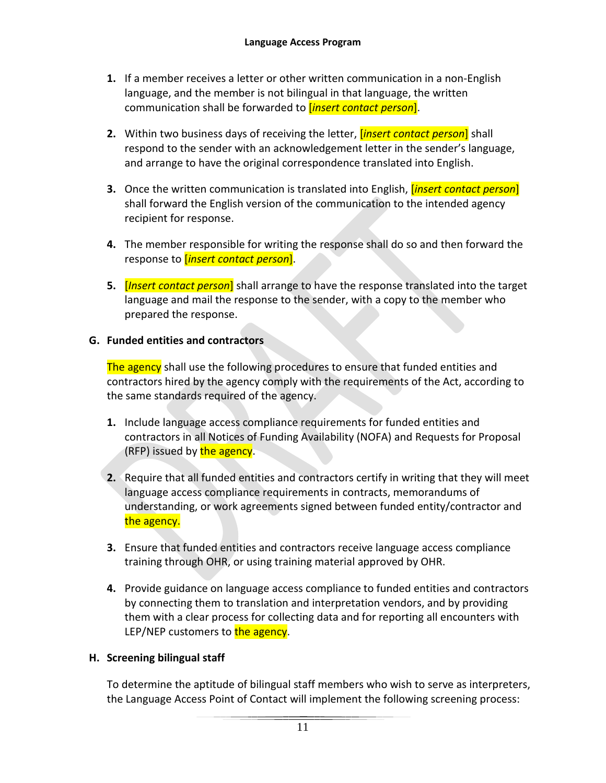- **1.** If a member receives a letter or other written communication in a non-English language, and the member is not bilingual in that language, the written communication shall be forwarded to [*insert contact person*].
- **2.** Within two business days of receiving the letter, [*insert contact person*] shall respond to the sender with an acknowledgement letter in the sender's language, and arrange to have the original correspondence translated into English.
- **3.** Once the written communication is translated into English, [*insert contact person*] shall forward the English version of the communication to the intended agency recipient for response.
- **4.** The member responsible for writing the response shall do so and then forward the response to [*insert contact person*].
- **5.** [*Insert contact person*] shall arrange to have the response translated into the target language and mail the response to the sender, with a copy to the member who prepared the response.

## <span id="page-10-0"></span>**G. Funded entities and contractors**

The agency shall use the following procedures to ensure that funded entities and contractors hired by the agency comply with the requirements of the Act, according to the same standards required of the agency.

- **1.** Include language access compliance requirements for funded entities and contractors in all Notices of Funding Availability (NOFA) and Requests for Proposal (RFP) issued by the agency.
- **2.** Require that all funded entities and contractors certify in writing that they will meet language access compliance requirements in contracts, memorandums of understanding, or work agreements signed between funded entity/contractor and the agency.
- **3.** Ensure that funded entities and contractors receive language access compliance training through OHR, or using training material approved by OHR.
- **4.** Provide guidance on language access compliance to funded entities and contractors by connecting them to translation and interpretation vendors, and by providing them with a clear process for collecting data and for reporting all encounters with LEP/NEP customers to the agency.

## <span id="page-10-1"></span>**H. Screening bilingual staff**

To determine the aptitude of bilingual staff members who wish to serve as interpreters, the Language Access Point of Contact will implement the following screening process: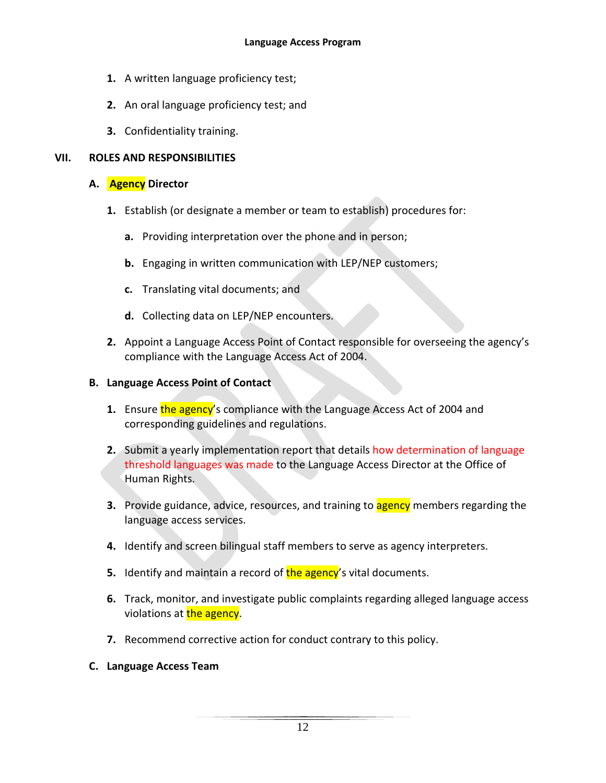- **1.** A written language proficiency test;
- **2.** An oral language proficiency test; and
- **3.** Confidentiality training.

## <span id="page-11-0"></span>**VII. ROLES AND RESPONSIBILITIES**

#### <span id="page-11-1"></span>**A. Agency Director**

- **1.** Establish (or designate a member or team to establish) procedures for:
	- **a.** Providing interpretation over the phone and in person;
	- **b.** Engaging in written communication with LEP/NEP customers;
	- **c.** Translating vital documents; and
	- **d.** Collecting data on LEP/NEP encounters.
- **2.** Appoint a Language Access Point of Contact responsible for overseeing the agency's compliance with the Language Access Act of 2004.

#### <span id="page-11-2"></span>**B. Language Access Point of Contact**

- **1.** Ensure the agency's compliance with the Language Access Act of 2004 and corresponding guidelines and regulations.
- **2.** Submit a yearly implementation report that details how determination of language threshold languages was made to the Language Access Director at the Office of Human Rights.
- **3.** Provide guidance, advice, resources, and training to **agency** members regarding the language access services.
- **4.** Identify and screen bilingual staff members to serve as agency interpreters.
- **5.** Identify and maintain a record of **the agency**'s vital documents.
- **6.** Track, monitor, and investigate public complaints regarding alleged language access violations at **the agency**.
- **7.** Recommend corrective action for conduct contrary to this policy.
- <span id="page-11-3"></span>**C. Language Access Team**